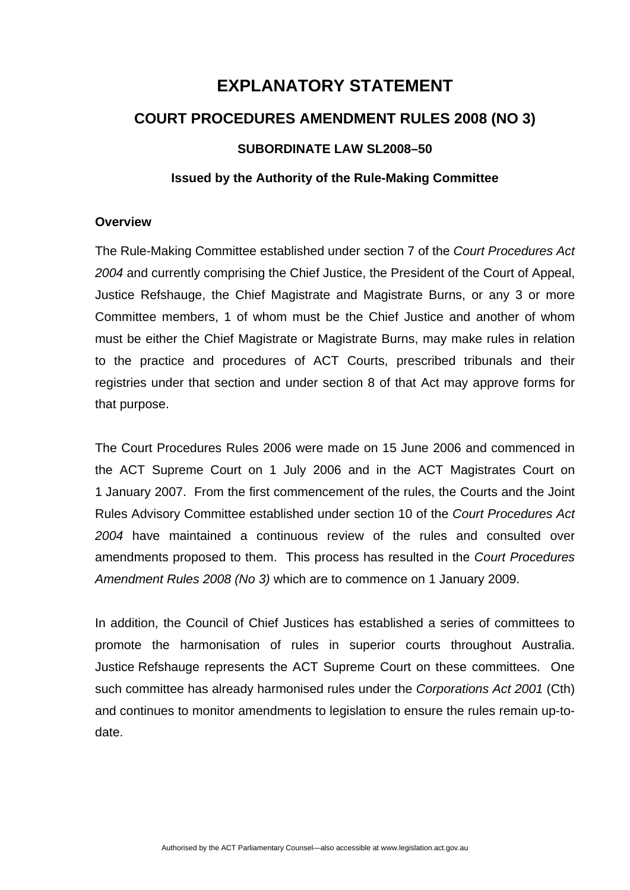# **EXPLANATORY STATEMENT COURT PROCEDURES AMENDMENT RULES 2008 (NO 3) SUBORDINATE LAW SL2008–50**

# **Issued by the Authority of the Rule-Making Committee**

# **Overview**

The Rule-Making Committee established under section 7 of the *Court Procedures Act 2004* and currently comprising the Chief Justice, the President of the Court of Appeal, Justice Refshauge, the Chief Magistrate and Magistrate Burns, or any 3 or more Committee members, 1 of whom must be the Chief Justice and another of whom must be either the Chief Magistrate or Magistrate Burns, may make rules in relation to the practice and procedures of ACT Courts, prescribed tribunals and their registries under that section and under section 8 of that Act may approve forms for that purpose.

The Court Procedures Rules 2006 were made on 15 June 2006 and commenced in the ACT Supreme Court on 1 July 2006 and in the ACT Magistrates Court on 1 January 2007. From the first commencement of the rules, the Courts and the Joint Rules Advisory Committee established under section 10 of the *Court Procedures Act 2004* have maintained a continuous review of the rules and consulted over amendments proposed to them. This process has resulted in the *Court Procedures Amendment Rules 2008 (No 3)* which are to commence on 1 January 2009.

In addition, the Council of Chief Justices has established a series of committees to promote the harmonisation of rules in superior courts throughout Australia. Justice Refshauge represents the ACT Supreme Court on these committees. One such committee has already harmonised rules under the *Corporations Act 2001* (Cth) and continues to monitor amendments to legislation to ensure the rules remain up-todate.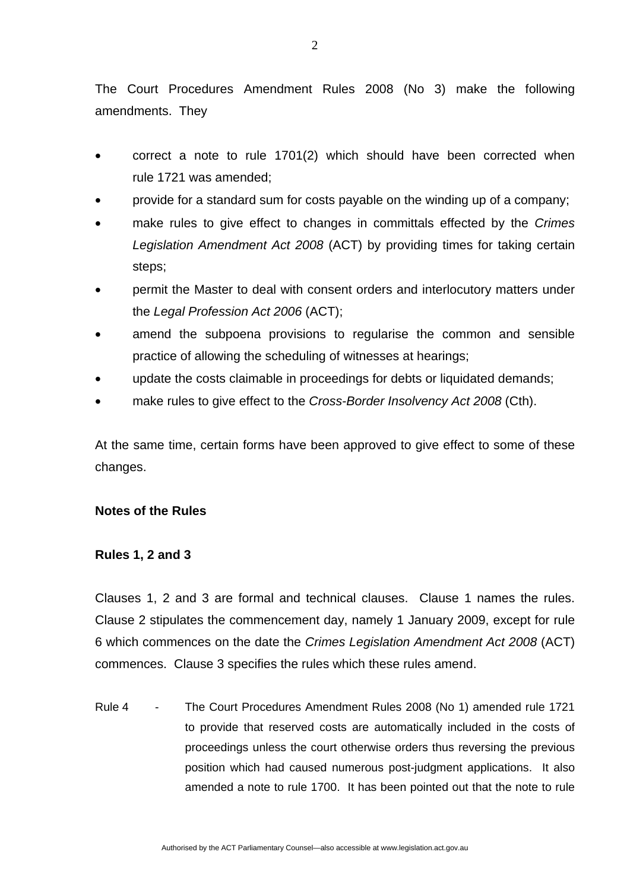The Court Procedures Amendment Rules 2008 (No 3) make the following amendments. They

- correct a note to rule 1701(2) which should have been corrected when rule 1721 was amended;
- provide for a standard sum for costs payable on the winding up of a company;
- make rules to give effect to changes in committals effected by the *Crimes Legislation Amendment Act 2008* (ACT) by providing times for taking certain steps;
- permit the Master to deal with consent orders and interlocutory matters under the *Legal Profession Act 2006* (ACT);
- amend the subpoena provisions to regularise the common and sensible practice of allowing the scheduling of witnesses at hearings;
- update the costs claimable in proceedings for debts or liquidated demands;
- make rules to give effect to the *Cross-Border Insolvency Act 2008* (Cth).

At the same time, certain forms have been approved to give effect to some of these changes.

### **Notes of the Rules**

### **Rules 1, 2 and 3**

Clauses 1, 2 and 3 are formal and technical clauses. Clause 1 names the rules. Clause 2 stipulates the commencement day, namely 1 January 2009, except for rule 6 which commences on the date the *Crimes Legislation Amendment Act 2008* (ACT) commences. Clause 3 specifies the rules which these rules amend.

Rule 4 - The Court Procedures Amendment Rules 2008 (No 1) amended rule 1721 to provide that reserved costs are automatically included in the costs of proceedings unless the court otherwise orders thus reversing the previous position which had caused numerous post-judgment applications. It also amended a note to rule 1700. It has been pointed out that the note to rule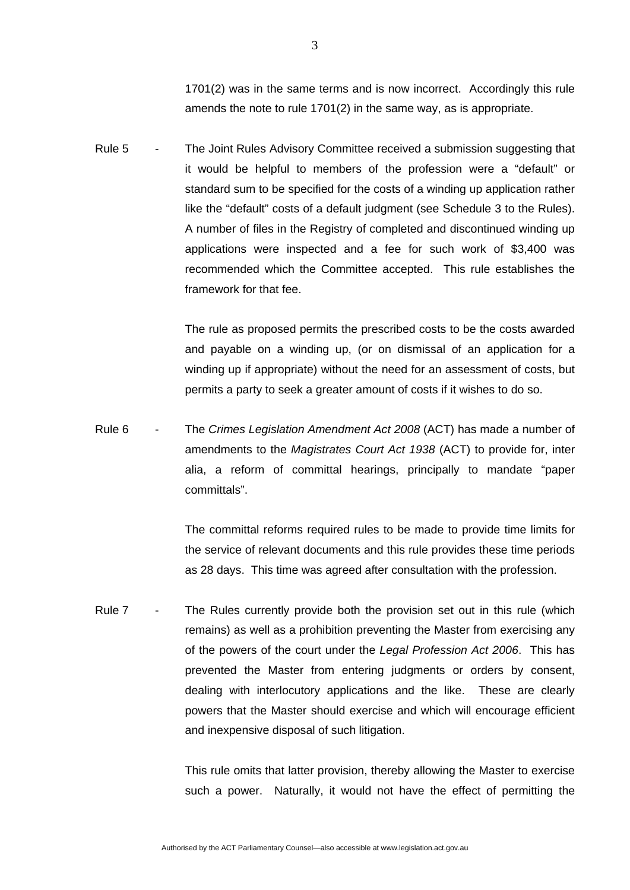1701(2) was in the same terms and is now incorrect. Accordingly this rule amends the note to rule 1701(2) in the same way, as is appropriate.

Rule 5 - The Joint Rules Advisory Committee received a submission suggesting that it would be helpful to members of the profession were a "default" or standard sum to be specified for the costs of a winding up application rather like the "default" costs of a default judgment (see Schedule 3 to the Rules). A number of files in the Registry of completed and discontinued winding up applications were inspected and a fee for such work of \$3,400 was recommended which the Committee accepted. This rule establishes the framework for that fee.

> The rule as proposed permits the prescribed costs to be the costs awarded and payable on a winding up, (or on dismissal of an application for a winding up if appropriate) without the need for an assessment of costs, but permits a party to seek a greater amount of costs if it wishes to do so.

Rule 6 - The *Crimes Legislation Amendment Act 2008* (ACT) has made a number of amendments to the *Magistrates Court Act 1938* (ACT) to provide for, inter alia, a reform of committal hearings, principally to mandate "paper committals".

> The committal reforms required rules to be made to provide time limits for the service of relevant documents and this rule provides these time periods as 28 days. This time was agreed after consultation with the profession.

Rule 7 - The Rules currently provide both the provision set out in this rule (which remains) as well as a prohibition preventing the Master from exercising any of the powers of the court under the *Legal Profession Act 2006*. This has prevented the Master from entering judgments or orders by consent, dealing with interlocutory applications and the like. These are clearly powers that the Master should exercise and which will encourage efficient and inexpensive disposal of such litigation.

> This rule omits that latter provision, thereby allowing the Master to exercise such a power. Naturally, it would not have the effect of permitting the